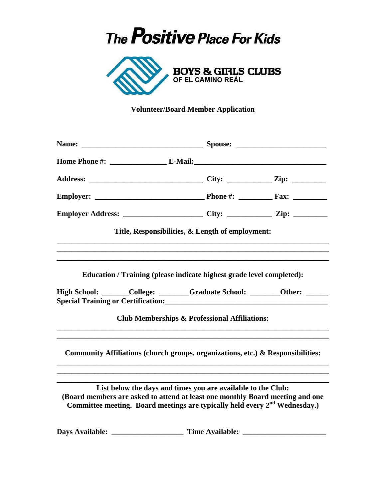## The **Positive** Place For Kids



## **Volunteer/Board Member Application**

|                        | Title, Responsibilities, & Length of employment:                                                                                                                                                                                        |  |  |
|------------------------|-----------------------------------------------------------------------------------------------------------------------------------------------------------------------------------------------------------------------------------------|--|--|
|                        |                                                                                                                                                                                                                                         |  |  |
|                        | Education / Training (please indicate highest grade level completed):                                                                                                                                                                   |  |  |
|                        | High School: ______College: _______Graduate School: _______Other: ______                                                                                                                                                                |  |  |
|                        | <b>Club Memberships &amp; Professional Affiliations:</b>                                                                                                                                                                                |  |  |
|                        | Community Affiliations (church groups, organizations, etc.) & Responsibilities:                                                                                                                                                         |  |  |
|                        | List below the days and times you are available to the Club:<br>(Board members are asked to attend at least one monthly Board meeting and one<br>Committee meeting. Board meetings are typically held every 2 <sup>nd</sup> Wednesday.) |  |  |
| <b>Days Available:</b> | <b>Time Available:</b>                                                                                                                                                                                                                  |  |  |